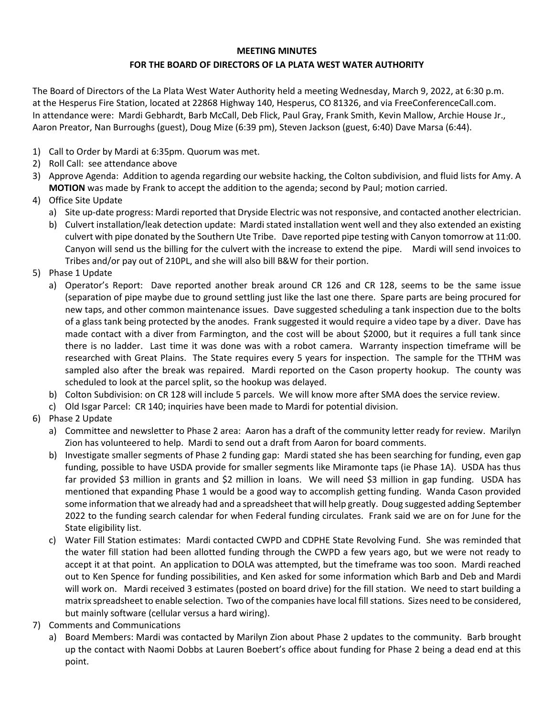## **MEETING MINUTES**

## **FOR THE BOARD OF DIRECTORS OF LA PLATA WEST WATER AUTHORITY**

The Board of Directors of the La Plata West Water Authority held a meeting Wednesday, March 9, 2022, at 6:30 p.m. at the Hesperus Fire Station, located at 22868 Highway 140, Hesperus, CO 81326, and via FreeConferenceCall.com. In attendance were: Mardi Gebhardt, Barb McCall, Deb Flick, Paul Gray, Frank Smith, Kevin Mallow, Archie House Jr., Aaron Preator, Nan Burroughs (guest), Doug Mize (6:39 pm), Steven Jackson (guest, 6:40) Dave Marsa (6:44).

- 1) Call to Order by Mardi at 6:35pm. Quorum was met.
- 2) Roll Call: see attendance above
- 3) Approve Agenda: Addition to agenda regarding our website hacking, the Colton subdivision, and fluid lists for Amy. A **MOTION** was made by Frank to accept the addition to the agenda; second by Paul; motion carried.
- 4) Office Site Update
	- a) Site up-date progress: Mardi reported that Dryside Electric was not responsive, and contacted another electrician.
	- b) Culvert installation/leak detection update: Mardi stated installation went well and they also extended an existing culvert with pipe donated by the Southern Ute Tribe. Dave reported pipe testing with Canyon tomorrow at 11:00. Canyon will send us the billing for the culvert with the increase to extend the pipe. Mardi will send invoices to Tribes and/or pay out of 210PL, and she will also bill B&W for their portion.
- 5) Phase 1 Update
	- a) Operator's Report: Dave reported another break around CR 126 and CR 128, seems to be the same issue (separation of pipe maybe due to ground settling just like the last one there. Spare parts are being procured for new taps, and other common maintenance issues. Dave suggested scheduling a tank inspection due to the bolts of a glass tank being protected by the anodes. Frank suggested it would require a video tape by a diver. Dave has made contact with a diver from Farmington, and the cost will be about \$2000, but it requires a full tank since there is no ladder. Last time it was done was with a robot camera. Warranty inspection timeframe will be researched with Great Plains. The State requires every 5 years for inspection. The sample for the TTHM was sampled also after the break was repaired. Mardi reported on the Cason property hookup. The county was scheduled to look at the parcel split, so the hookup was delayed.
	- b) Colton Subdivision: on CR 128 will include 5 parcels. We will know more after SMA does the service review.
	- c) Old Isgar Parcel: CR 140; inquiries have been made to Mardi for potential division.
- 6) Phase 2 Update
	- a) Committee and newsletter to Phase 2 area: Aaron has a draft of the community letter ready for review. Marilyn Zion has volunteered to help. Mardi to send out a draft from Aaron for board comments.
	- b) Investigate smaller segments of Phase 2 funding gap: Mardi stated she has been searching for funding, even gap funding, possible to have USDA provide for smaller segments like Miramonte taps (ie Phase 1A). USDA has thus far provided \$3 million in grants and \$2 million in loans. We will need \$3 million in gap funding. USDA has mentioned that expanding Phase 1 would be a good way to accomplish getting funding. Wanda Cason provided some information that we already had and a spreadsheet that will help greatly. Doug suggested adding September 2022 to the funding search calendar for when Federal funding circulates. Frank said we are on for June for the State eligibility list.
	- c) Water Fill Station estimates: Mardi contacted CWPD and CDPHE State Revolving Fund. She was reminded that the water fill station had been allotted funding through the CWPD a few years ago, but we were not ready to accept it at that point. An application to DOLA was attempted, but the timeframe was too soon. Mardi reached out to Ken Spence for funding possibilities, and Ken asked for some information which Barb and Deb and Mardi will work on. Mardi received 3 estimates (posted on board drive) for the fill station. We need to start building a matrix spreadsheet to enable selection. Two of the companies have local fill stations. Sizes need to be considered, but mainly software (cellular versus a hard wiring).
- 7) Comments and Communications
	- a) Board Members: Mardi was contacted by Marilyn Zion about Phase 2 updates to the community. Barb brought up the contact with Naomi Dobbs at Lauren Boebert's office about funding for Phase 2 being a dead end at this point.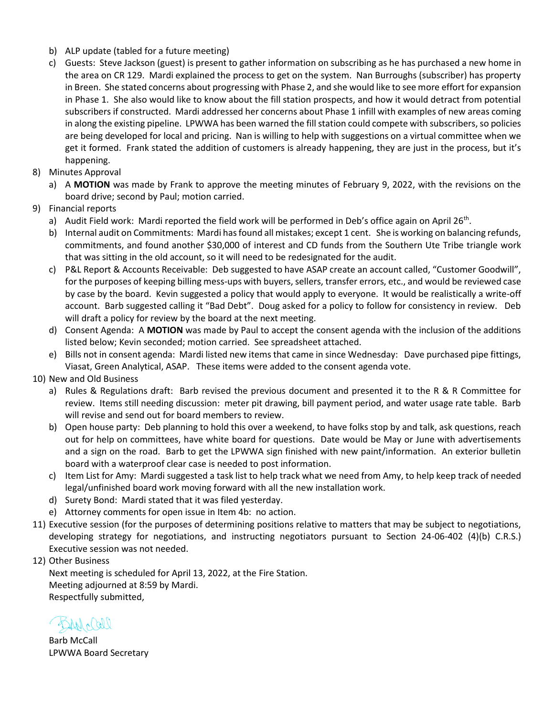- b) ALP update (tabled for a future meeting)
- c) Guests: Steve Jackson (guest) is present to gather information on subscribing as he has purchased a new home in the area on CR 129. Mardi explained the process to get on the system. Nan Burroughs (subscriber) has property in Breen. She stated concerns about progressing with Phase 2, and she would like to see more effort for expansion in Phase 1. She also would like to know about the fill station prospects, and how it would detract from potential subscribers if constructed. Mardi addressed her concerns about Phase 1 infill with examples of new areas coming in along the existing pipeline. LPWWA has been warned the fill station could compete with subscribers, so policies are being developed for local and pricing. Nan is willing to help with suggestions on a virtual committee when we get it formed. Frank stated the addition of customers is already happening, they are just in the process, but it's happening.
- 8) Minutes Approval
	- a) A **MOTION** was made by Frank to approve the meeting minutes of February 9, 2022, with the revisions on the board drive; second by Paul; motion carried.
- 9) Financial reports
	- a) Audit Field work: Mardi reported the field work will be performed in Deb's office again on April 26<sup>th</sup>.
	- b) Internal audit on Commitments: Mardi has found all mistakes; except 1 cent. She is working on balancing refunds, commitments, and found another \$30,000 of interest and CD funds from the Southern Ute Tribe triangle work that was sitting in the old account, so it will need to be redesignated for the audit.
	- c) P&L Report & Accounts Receivable: Deb suggested to have ASAP create an account called, "Customer Goodwill", for the purposes of keeping billing mess-ups with buyers, sellers, transfer errors, etc., and would be reviewed case by case by the board. Kevin suggested a policy that would apply to everyone. It would be realistically a write-off account. Barb suggested calling it "Bad Debt". Doug asked for a policy to follow for consistency in review. Deb will draft a policy for review by the board at the next meeting.
	- d) Consent Agenda: A **MOTION** was made by Paul to accept the consent agenda with the inclusion of the additions listed below; Kevin seconded; motion carried. See spreadsheet attached.
	- e) Bills not in consent agenda: Mardi listed new items that came in since Wednesday: Dave purchased pipe fittings, Viasat, Green Analytical, ASAP. These items were added to the consent agenda vote.
- 10) New and Old Business
	- a) Rules & Regulations draft: Barb revised the previous document and presented it to the R & R Committee for review. Items still needing discussion: meter pit drawing, bill payment period, and water usage rate table. Barb will revise and send out for board members to review.
	- b) Open house party: Deb planning to hold this over a weekend, to have folks stop by and talk, ask questions, reach out for help on committees, have white board for questions. Date would be May or June with advertisements and a sign on the road. Barb to get the LPWWA sign finished with new paint/information. An exterior bulletin board with a waterproof clear case is needed to post information.
	- c) Item List for Amy: Mardi suggested a task list to help track what we need from Amy, to help keep track of needed legal/unfinished board work moving forward with all the new installation work.
	- d) Surety Bond: Mardi stated that it was filed yesterday.
	- e) Attorney comments for open issue in Item 4b: no action.
- 11) Executive session (for the purposes of determining positions relative to matters that may be subject to negotiations, developing strategy for negotiations, and instructing negotiators pursuant to Section 24-06-402 (4)(b) C.R.S.) Executive session was not needed.
- 12) Other Business

Next meeting is scheduled for April 13, 2022, at the Fire Station. Meeting adjourned at 8:59 by Mardi. Respectfully submitted,

Barb McCall LPWWA Board Secretary